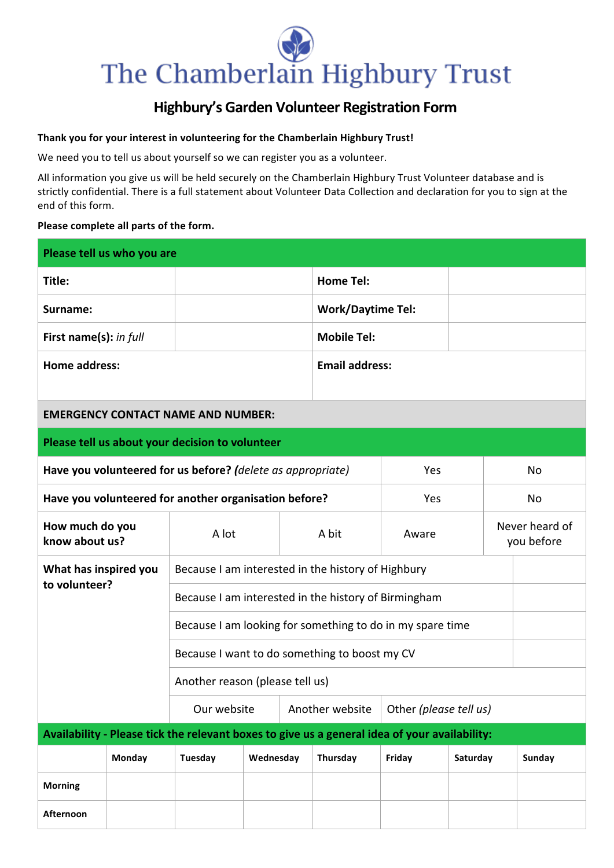# The Chamberlain Highbury Trust

### **Highbury's Garden Volunteer Registration Form**

#### Thank you for your interest in volunteering for the Chamberlain Highbury Trust!

We need you to tell us about yourself so we can register you as a volunteer.

All information you give us will be held securely on the Chamberlain Highbury Trust Volunteer database and is strictly confidential. There is a full statement about Volunteer Data Collection and declaration for you to sign at the end of this form.

#### Please complete all parts of the form.

| Please tell us who you are                                  |        |                                                                                               |           |                 |                          |                        |          |                              |        |  |
|-------------------------------------------------------------|--------|-----------------------------------------------------------------------------------------------|-----------|-----------------|--------------------------|------------------------|----------|------------------------------|--------|--|
| Title:                                                      |        |                                                                                               |           |                 | <b>Home Tel:</b>         |                        |          |                              |        |  |
| Surname:                                                    |        |                                                                                               |           |                 | <b>Work/Daytime Tel:</b> |                        |          |                              |        |  |
| First name(s): in full                                      |        |                                                                                               |           |                 | <b>Mobile Tel:</b>       |                        |          |                              |        |  |
| <b>Home address:</b>                                        |        | <b>Email address:</b>                                                                         |           |                 |                          |                        |          |                              |        |  |
| <b>EMERGENCY CONTACT NAME AND NUMBER:</b>                   |        |                                                                                               |           |                 |                          |                        |          |                              |        |  |
| Please tell us about your decision to volunteer             |        |                                                                                               |           |                 |                          |                        |          |                              |        |  |
| Have you volunteered for us before? (delete as appropriate) |        |                                                                                               |           |                 |                          | Yes                    |          | No                           |        |  |
| Have you volunteered for another organisation before?       |        |                                                                                               |           |                 | Yes                      |                        | No       |                              |        |  |
| How much do you<br>know about us?                           |        | A lot                                                                                         |           |                 | A bit                    | Aware                  |          | Never heard of<br>you before |        |  |
| What has inspired you<br>to volunteer?                      |        | Because I am interested in the history of Highbury                                            |           |                 |                          |                        |          |                              |        |  |
|                                                             |        | Because I am interested in the history of Birmingham                                          |           |                 |                          |                        |          |                              |        |  |
|                                                             |        | Because I am looking for something to do in my spare time                                     |           |                 |                          |                        |          |                              |        |  |
|                                                             |        | Because I want to do something to boost my CV                                                 |           |                 |                          |                        |          |                              |        |  |
| Another reason (please tell us)                             |        |                                                                                               |           |                 |                          |                        |          |                              |        |  |
|                                                             |        | Our website                                                                                   |           | Another website |                          | Other (please tell us) |          |                              |        |  |
|                                                             |        | Availability - Please tick the relevant boxes to give us a general idea of your availability: |           |                 |                          |                        |          |                              |        |  |
|                                                             | Monday | Tuesday                                                                                       | Wednesday |                 | Thursday                 | Friday                 | Saturday |                              | Sunday |  |
| <b>Morning</b>                                              |        |                                                                                               |           |                 |                          |                        |          |                              |        |  |
| Afternoon                                                   |        |                                                                                               |           |                 |                          |                        |          |                              |        |  |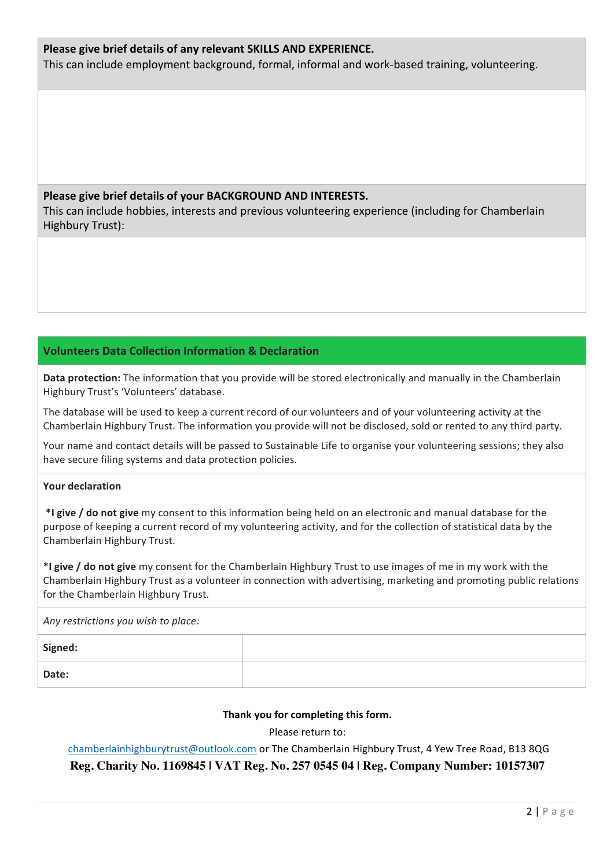#### Please give brief details of any relevant SKILLS AND EXPERIENCE.

This can include employment background, formal, informal and work-based training, volunteering.

#### Please give brief details of your BACKGROUND AND INTERESTS.

This can include hobbies, interests and previous volunteering experience (including for Chamberlain Highbury Trust):

#### **Volunteers Data Collection Information & Declaration**

**Data protection:** The information that you provide will be stored electronically and manually in the Chamberlain Highbury Trust's 'Volunteers' database.

The database will be used to keep a current record of our volunteers and of your volunteering activity at the Chamberlain Highbury Trust. The information you provide will not be disclosed, sold or rented to any third party.

Your name and contact details will be passed to Sustainable Life to organise your volunteering sessions; they also have secure filing systems and data protection policies.

#### **Your declaration**

\*I give / do not give my consent to this information being held on an electronic and manual database for the purpose of keeping a current record of my volunteering activity, and for the collection of statistical data by the Chamberlain Highbury Trust.

\*I give / do not give my consent for the Chamberlain Highbury Trust to use images of me in my work with the Chamberlain Highbury Trust as a volunteer in connection with advertising, marketing and promoting public relations for the Chamberlain Highbury Trust.

*Any restrictions you wish to place:*

| Signed: |  |
|---------|--|
| Date:   |  |

#### Thank you for completing this form.

Please return to:

#### chamberlainhighburytrust@outlook.com or The Chamberlain Highbury Trust, 4 Yew Tree Road, B13 8QG **Reg. Charity No. 1169845 | VAT Reg. No. 257 0545 04 | Reg. Company Number: 10157307**